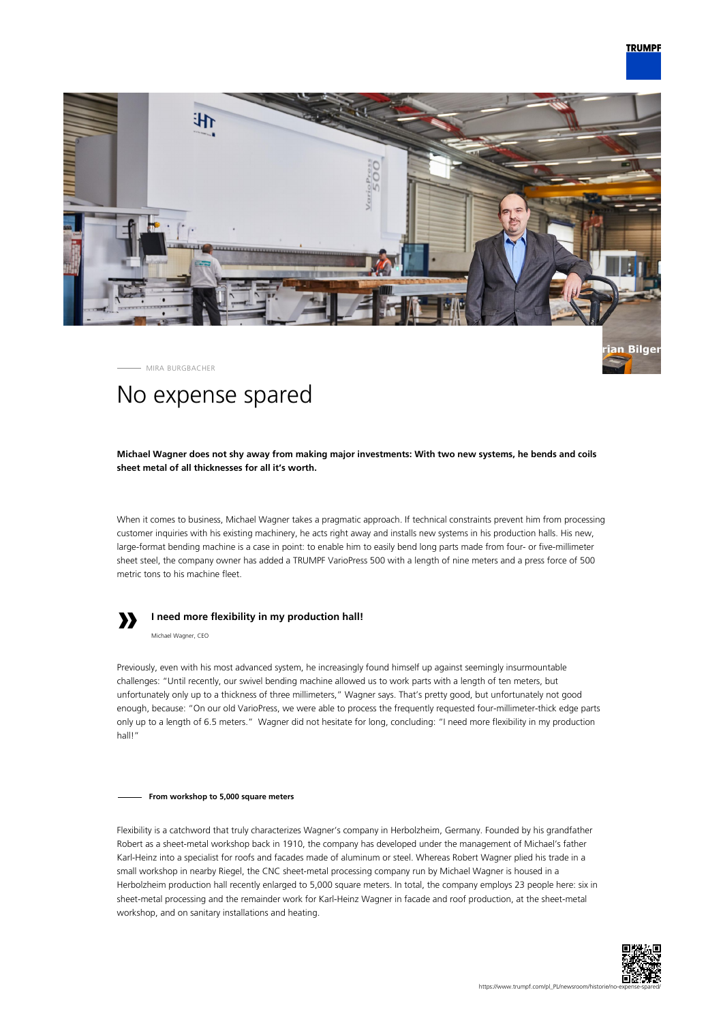

MIRA BURGBACHER

# No expense spared

**Michael Wagner does not shy away from making major investments: With two new systems, he bends and coils sheet metal of all thicknesses for all it's worth.**

When it comes to business, Michael Wagner takes a pragmatic approach. If technical constraints prevent him from processing customer inquiries with his existing machinery, he acts right away and installs new systems in his production halls. His new, large-format bending machine is a case in point: to enable him to easily bend long parts made from four- or five-millimeter sheet steel, the company owner has added a TRUMPF VarioPress 500 with a length of nine meters and a press force of 500 metric tons to his machine fleet.



## **I need more flexibility in my production hall!**

Michael Wagner, CEO

Previously, even with his most advanced system, he increasingly found himself up against seemingly insurmountable challenges: "Until recently, our swivel bending machine allowed us to work parts with a length of ten meters, but unfortunately only up to a thickness of three millimeters," Wagner says. That's pretty good, but unfortunately not good enough, because: "On our old VarioPress, we were able to process the frequently requested four-millimeter-thick edge parts only up to a length of 6.5 meters." Wagner did not hesitate for long, concluding: "I need more flexibility in my production hall!"

#### **From workshop to 5,000 square meters**

Flexibility is a catchword that truly characterizes Wagner's company in Herbolzheim, Germany. Founded by his grandfather Robert as a sheet-metal workshop back in 1910, the company has developed under the management of Michael's father Karl-Heinz into a specialist for roofs and facades made of aluminum or steel. Whereas Robert Wagner plied his trade in a small workshop in nearby Riegel, the CNC sheet-metal processing company run by Michael Wagner is housed in a Herbolzheim production hall recently enlarged to 5,000 square meters. In total, the company employs 23 people here: six in sheet-metal processing and the remainder work for Karl-Heinz Wagner in facade and roof production, at the sheet-metal workshop, and on sanitary installations and heating.

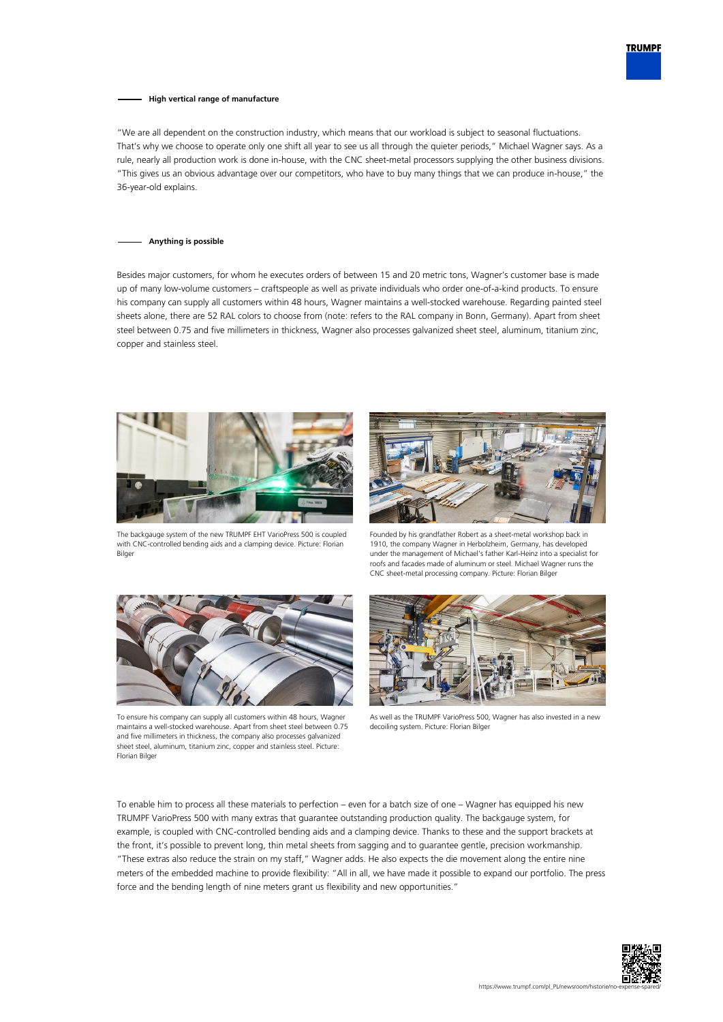

### **High vertical range of manufacture**

"We are all dependent on the construction industry, which means that our workload is subject to seasonal fluctuations. That's why we choose to operate only one shift all year to see us all through the quieter periods," Michael Wagner says. As a rule, nearly all production work is done in-house, with the CNC sheet-metal processors supplying the other business divisions. "This gives us an obvious advantage over our competitors, who have to buy many things that we can produce in-house," the 36-year-old explains.

#### **Anything is possible**

Besides major customers, for whom he executes orders of between 15 and 20 metric tons, Wagner's customer base is made up of many low-volume customers – craftspeople as well as private individuals who order one-of-a-kind products. To ensure his company can supply all customers within 48 hours, Wagner maintains a well-stocked warehouse. Regarding painted steel sheets alone, there are 52 RAL colors to choose from (note: refers to the RAL company in Bonn, Germany). Apart from sheet steel between 0.75 and five millimeters in thickness, Wagner also processes galvanized sheet steel, aluminum, titanium zinc, copper and stainless steel.





The backgauge system of the new TRUMPF EHT VarioPress 500 is coupled with CNC-controlled bending aids and a clamping device. Picture: Florian Bilger

Founded by his grandfather Robert as a sheet-metal workshop back in 1910, the company Wagner in Herbolzheim, Germany, has developed under the management of Michael's father Karl-Heinz into a specialist for roofs and facades made of aluminum or steel. Michael Wagner runs the CNC sheet-metal processing company. Picture: Florian Bilger



To ensure his company can supply all customers within 48 hours, Wagner maintains a well-stocked warehouse. Apart from sheet steel between 0.75 and five millimeters in thickness, the company also processes galvanized sheet steel, aluminum, titanium zinc, copper and stainless steel. Picture: Florian Bilger



As well as the TRUMPF VarioPress 500, Wagner has also invested in a new decoiling system. Picture: Florian Bilger

To enable him to process all these materials to perfection – even for a batch size of one – Wagner has equipped his new TRUMPF VarioPress 500 with many extras that guarantee outstanding production quality. The backgauge system, for example, is coupled with CNC-controlled bending aids and a clamping device. Thanks to these and the support brackets at the front, it's possible to prevent long, thin metal sheets from sagging and to guarantee gentle, precision workmanship. "These extras also reduce the strain on my staff," Wagner adds. He also expects the die movement along the entire nine meters of the embedded machine to provide flexibility: "All in all, we have made it possible to expand our portfolio. The press force and the bending length of nine meters grant us flexibility and new opportunities."